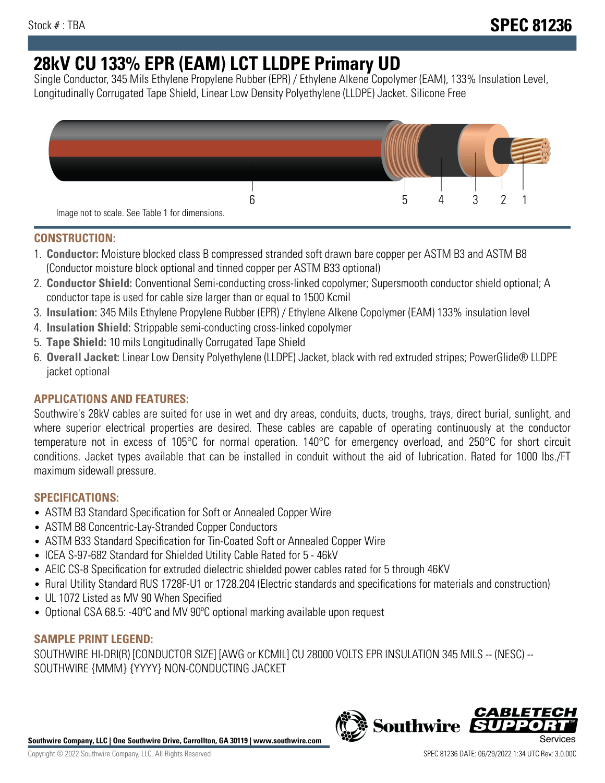# **28kV CU 133% EPR (EAM) LCT LLDPE Primary UD**

Single Conductor, 345 Mils Ethylene Propylene Rubber (EPR) / Ethylene Alkene Copolymer (EAM), 133% Insulation Level, Longitudinally Corrugated Tape Shield, Linear Low Density Polyethylene (LLDPE) Jacket. Silicone Free



## **CONSTRUCTION:**

- 1. **Conductor:** Moisture blocked class B compressed stranded soft drawn bare copper per ASTM B3 and ASTM B8 (Conductor moisture block optional and tinned copper per ASTM B33 optional)
- 2. **Conductor Shield:** Conventional Semi-conducting cross-linked copolymer; Supersmooth conductor shield optional; A conductor tape is used for cable size larger than or equal to 1500 Kcmil
- 3. **Insulation:** 345 Mils Ethylene Propylene Rubber (EPR) / Ethylene Alkene Copolymer (EAM) 133% insulation level
- 4. **Insulation Shield:** Strippable semi-conducting cross-linked copolymer
- 5. **Tape Shield:** 10 mils Longitudinally Corrugated Tape Shield
- 6. **Overall Jacket:** Linear Low Density Polyethylene (LLDPE) Jacket, black with red extruded stripes; PowerGlide® LLDPE jacket optional

# **APPLICATIONS AND FEATURES:**

Southwire's 28kV cables are suited for use in wet and dry areas, conduits, ducts, troughs, trays, direct burial, sunlight, and where superior electrical properties are desired. These cables are capable of operating continuously at the conductor temperature not in excess of 105°C for normal operation. 140°C for emergency overload, and 250°C for short circuit conditions. Jacket types available that can be installed in conduit without the aid of lubrication. Rated for 1000 lbs./FT maximum sidewall pressure.

## **SPECIFICATIONS:**

- ASTM B3 Standard Specification for Soft or Annealed Copper Wire
- ASTM B8 Concentric-Lay-Stranded Copper Conductors
- ASTM B33 Standard Specification for Tin-Coated Soft or Annealed Copper Wire
- ICEA S-97-682 Standard for Shielded Utility Cable Rated for 5 46kV
- AEIC CS-8 Specification for extruded dielectric shielded power cables rated for 5 through 46KV
- Rural Utility Standard RUS 1728F-U1 or 1728.204 (Electric standards and specifications for materials and construction)
- UL 1072 Listed as MV 90 When Specified
- Optional CSA 68.5: -40ºC and MV 90ºC optional marking available upon request

# **SAMPLE PRINT LEGEND:**

SOUTHWIRE HI-DRI(R) [CONDUCTOR SIZE] [AWG or KCMIL] CU 28000 VOLTS EPR INSULATION 345 MILS -- (NESC) -- SOUTHWIRE {MMM} {YYYY} NON-CONDUCTING JACKET

**Southwire Company, LLC | One Southwire Drive, Carrollton, GA 30119 | www.southwire.com**